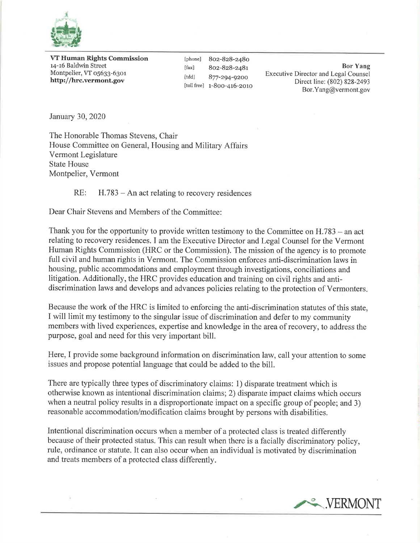

VT Human Rights Commission 14-16 Baldwin Street Montpelier, VT 05633-6301 http://hrc.vermont.gov

[phone] 8oz-828-248o [fax] 802-828-2481] [tdd] 877-294-9200 [toll free] 1-8Oo-416-2o1o

Bor Yang Executive Director and Legal Counsel Direct line: (802) 828-2493 Bor.Yang@vermont.gov

January 30,2020

The Honorable Thomas Stevens, Chair House Committee on General, Housing and Military Affairs Vermont Legislature State House Montpelier, Vermont

 $RE:$  H.783 – An act relating to recovery residences

Dear Chair Stevens and Members of the Committee:

Thank you for the opportunity to provide written testimony to the Committee on  $H.783 -$ an act relating to recovery residences. I am the Executive Director and Legal Counsel for the Vermont Human Rights Commission (HRC or the Commission). The mission of the agency is to promote full civil and human rights in Vermont. The Commission enforces anti-discrimination laws in housing, public accommodations and employment through investigations, conciliations and litigation. Additionally, the HRC provides education and training on civil rights and antidiscrimination laws and develops and advances policies relating to the protection of Vermonters

Because the work of the HRC is limited to enforcing the anti-discrimination statutes of this state, I will limit my testimony to the singular issue of discrimination and defer to my community members with lived experiences, expertise and knowledge in the area of recovery, to address the purpose, goal and need for this very important bill.

Here, I provide some background information on discrimination law, call your attention to some issues and propose potential language that could be added to the bill.

There are typically three types of discriminatory claims: 1) disparate treatment which is otherwise known as intentional discrimination claims; 2) disparate impact claims which occurs when a neutral policy results in a disproportionate impact on a specific group of people; and 3) reasonable accommodation/modification claims brought by persons with disabilities.

Intentional discrimination occurs when a member of a protected class is treated differently because of their protected status. This can result when there is a facially discriminatory policy, rule, ordinance or statute. It can also occur when an individual is motivated by discrimination and treats members of a protected class differently.

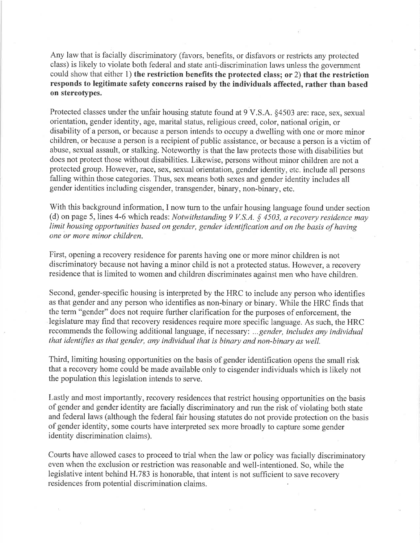Any law that is facially discriminatory (favors, benefits, or disfavors or restricts any protected class) is likely to violate both federal and state anti-discrimination laws unless the government could show that either 1) the restriction benefits the protected class; or 2) that the restriction responds to legitimate safety concerns raised by the individuals affected, rather than based on stereotypes.

Protected classes under the unfair housing statute found at 9 V.S.A. §4503 are: race, sex, sexual orientation, gender identity, age, marital status, religious creed, color, national origin, or disability of a person, or because a person intends to occupy a dwelling with one or more minor children, or because a person is a recipient of public assistance, or because a person is a victim of abuse, sexual assault, or stalking. Noteworthy is that the law protects those with disabilities but does not protect those without disabilities. Likewise, persons without minor children are not a protected group. However, race, sex, sexual orientation, gender identity, etc. include all persons falling within those categories. Thus, sex means both sexes and gender identity includes all gender identities including cisgender, transgender, binary, non-binary, etc.

With this background information, I now turn to the unfair housing language found under section (d) on page 5, lines 4-6 which reads: Notwithstanding 9 V.S.A.  $\frac{6}{5}$  4503, a recovery residence may limit housing opportunities based on gender, gender identification and on the basis of having one or more minor children.

First, opening a recovery residence for parents having one or more minor children is not discriminatory because not having a minor child is not a protected status. However, a recovery residence that is limited to women and children discriminates against men who have children.

Second, gender-specific housing is interpreted by the HRC to include any person who identifies as that gender and any person who identifies as non-binary or binary. While the HRC finds that the term "gender" does not require further clarification for the purposes of enforcement, the legislature may find that recovery residences require more specific language. As such, the HRC recommends the following additional language, if necessary: ...gender, includes any individual that identifies as that gender, any individual that is binary and non-binary as well.

Third, limiting housing opportunities on the basis of gender identification opens the small risk that a recovery home could be made available only to cisgender individuals which is likely not the population this legislation intends to serve.

Lastly and most importantly, recovery residences that restrict housing opportunities on the basis of gender and gender identity are facially discriminatory and run the risk of violating both state and federal laws (although the federal fair housing statutes do not provide protection on the basis of gender identity, some courts have interpreted sex more broadly to capture some gender identity discrimination claims).

Courts have allowed cases to proceed to trial when the law or policy was facially discriminatory even when the exclusion or restriction was reasonable and well-intentioned. So, while the legislative intent behind H,783 is honorable, that intent is not sufficient to save recovery residences from potential discrimination claims.